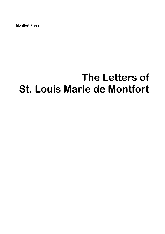**Montfort Press** 

# **The Letters of St. Louis Marie de Montfort**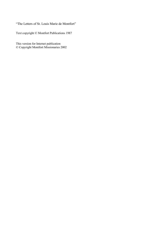"The Letters of St. Louis Marie de Montfort"

Text copyright © Montfort Publications 1987

This version for Internet publication © Copyright Montfort Missionaries 2002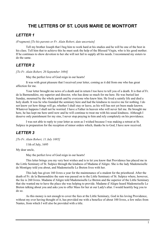# **THE LETTERS OF ST. LOUIS MARIE DE MONTFORT**

## *LETTER 1*

#### *(Fragment) [To his parents or Fr. Alain Robert, date uncertain]*

 Tell my brother Joseph that I beg him to work hard at his studies and he will be one of the best in his class. Tell him that to achieve this he must seek the help of the Blessed Virgin, who is his good mother. If he continues to show devotion to her she will not fail to supply all his needs. I recommend my sisters to do the same.

# *LETTER 2*

#### *[To Fr. Alain Robert, 20 September 1694]*

May the perfect love of God reign in our hearts!

 It was with great pleasure that I received your letter, coming as it did from one who has great affection for me.

 Your letter brought me news of a death and in return I too have to tell you of a death. It is that of Fr. de la Barmondière, my superior and director, who has done so much for me here. He was buried last Sunday, mourned by the whole parish and by everyone who knew him. He lived a saintly life and died a holy death. It was he who founded the seminary here and had the kindness to receive me for nothing. I do not know yet how things will go, whether I shall stay or leave, as his will has not yet been made known. Whatever happens I shall not be worried. I have a Father in heaven who will never fail me. He brought me here, he has kept me here until now and he will continue to treat me with his usual kindness. Although I deserve only punishment for my sins, I never stop praying to him and rely completely on his providence.

 I was not able to reply to your letter as soon as I wished because I was making a retreat at St. Sulpice in preparation for the reception of minor orders which, thanks be to God, I have now received.

## *LETTER 3*

*[To Fr. Alain Robert, 11 July 1695]* 

11th of July, 1695

My dear uncle,

May the perfect love of God reign in our hearts!

 This letter brings you my very best wishes and is to let you know that Providence has placed me in the Little Seminary of St. Sulpice through the kindness of Madame d'Alègre. She is the lady Mademoiselle de Montigny told you about, and Mademoiselle Le Breton lives with her.

 This lady has given 160 livres a year for the maintenance of a student for the priesthood. After the death of Fr. de la Barmondière the sum was passed on to the Little Seminary of St. Sulpice where, however, the fee is 260 livres. Madame d'Alègre told Mademoiselle Le Breton and the superior of the Little Seminary that she wanted me to have the place she was helping to provide. Madame d'Alègre heard Mademoiselle Le Breton talking about you and asks you to offer Mass for her at our Lady's altar. I would heartily beg you to do so.

 As this money is not enough to cover the fees at the Little Seminary, God in his loving Providence, without my ever having thought of it, has provided me with a benefice of about 100 livres, a few miles from Nantes, from which I will also be provided with a title.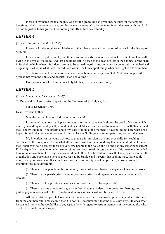Please in my name thank almighty God for the graces he has given me, not just for the temporal blessings, which are not important, but for the eternal ones. May he not enter into judgement with me, for I do not do justice to his graces; I do nothing but offend him day after day.

# *LETTER 4*

#### *[To Fr. Alain Robert, 6 March 1699]*

 Please be kind enough to tell Madame B. that I have received her packet of letters for the Bishop of St. Malo.

 I must admit, my dear uncle, that these various errands distress me and make me feel that I am still living in the world. Would to God that I could be left in peace as the dead are left in their tombs, or the snail in its shell, which, when it is hidden, seems to be something of value, but when it comes out is wretched and disgusting, - which is what I am. Indeed I am worse, for I only spoil things whenever I get involved in them.

 So, please, uncle, I beg you to remember me only in your prayers to God. "Let man not prevail against me; from the unjust and deceitful man deliver me."

Ever yours in our Lord and in our holy Mother, in time and in eternity.

# *LETTER 5*

#### *[To Fr. Leschassier, 6 December 1700]*

To Reverend Fr. Leschassier, Superior of the Seminary of St. Sulpice, Paris.

6th of December, 1700

Dear Reverend Father,

May the perfect love of God reign in our hearts!

 I cannot tell you how much pleasure your short letter gave me. It shows the bond of charity which unites you and my unworthy self, a bond God has established and wishes to maintain. It is with this in mind that I am writing to tell you briefly about my state of mind at the moment. I have not found here what I had hoped for and what led me to leave such a holy place as St. Sulpice, almost against my better judgement.

 My intention was, as yours was too, to prepare for mission-work and especially for teaching catechism to the poor, since this is what attracts me most. But I am not doing that at all and I do not think that I shall ever do it here, for there are very few people in the house and no one has any experience except Fr. Lévêque. He is unable to undertake missions now because of his age and even if his great zeal impelled him to undertake them, Fr. Desjonchères would not allow it as he told me himself. There is not even half the organisation and observance here as there was at St. Sulpice and it seems that as things are, there could never be any improvement. It seems to me that there are four types of people here, whose aims and intentions are quite different:-

(1) There are five people in the community proper of whom two are incapable of any active work.

 (2) There are the parish priests, curates, ordinary priests and laymen who come occasionally for retreats.

(3) There are a few priests and canons who reside here just for a quiet life.

 (4) There are some priests and a great number of young students who go out for theology and philosophy courses - most of them are dressed in lay clothes or without full clerical dress.

 All these different people have their own rule which they have made up by taking what suits them from the common rule. I must admit that it is not Fr. Lévêque's fault that the rule is not kept. He does what he can and not what he would like to do, especially with regard to certain members of the community who dislike his simple, saintly ways.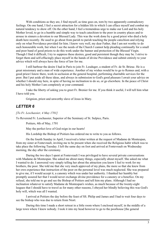With conditions as they are, I find myself, as time goes on, torn by two apparently contradictory feelings. On one hand, I feel a secret attraction for a hidden life in which I can efface myself and combat my natural tendency to show off. On the other hand, I feel a tremendous urge to make our Lord and his holy Mother loved, to go in a humble and simple way to teach catechism to the poor in country places and to arouse in sinners a devotion to our Blessed Lady. This was the work done by a good priest who died a holy death here recently. He used to go about from parish to parish teaching the people catechism and relying only on what Providence provided for him. I know very well, my dear Father, that I am not worthy to do such honourable work, but when I see the needs of the Church I cannot help pleading continually for a small and poor band of good priests to do this work under the banner and protection of the Blessed Virgin. Though I find it difficult, I try to suppress these desires, good and persistent though they may be. I strive to forget them and self-effacingly place myself in the hands of divine Providence and submit entirely to your advice which will always have the force of law for me.

 I still harbour the desire I had in Paris to join Fr. Leuduger, a student of Fr. de St. Brieuc. He is a great missionary and a man of wide experience. Another of my wishes would be to go to Rennes and, with a good priest I know there, work in seclusion at the general hospital, performing charitable services for the poor. But I put aside all these ideas, and always in submission to God's good pleasure I await your advice on whether I should stay here, in spite of having no inclination to do so, or go elsewhere. In the peace of Christ and his holy Mother I am completely at your command.

 I take the liberty of asking you to greet Fr. Brenier for me. If you think it useful, I will tell him what I have told you.

Grignion, priest and unworthy slave of Jesus in Mary.

# *LETTER 6*

*[To Fr. Leschassier, 4 May 1701]* 

To Reverend Fr. Leschassier, Superior of the Seminary of St. Sulpice, Paris.

Poitiers, 4th of May, 1701

May the perfect love of God reign in our hearts!

His Lordship the Bishop of Poitiers has ordered me to write to you as follows.

 On the fourth Sunday in April, I received a letter written at the request of Madame de Montespan, from my sister at Fontevrault, inviting me to be present when she received the Religious habit which was to take place the following Tuesday. I left the same day on foot and arrived at Fontevrault on Wednesday morning, the day after the ceremony.

 During the two days I spent at Fontevrault I was privileged to have several private conversations with Madame de Montespan. She asked me about many things, especially about myself. She asked me what I wanted to do. I answered very simply telling her about the attraction you know I feel to work for my brothers, the poor. She told me that she very much approved of my plans, the more so that she knew from her own experience that instruction of the poor on the personal level was much neglected. She was prepared to give me, if I would accept it, a canonry which was under her authority. I thanked her humbly but promptly assured her that I would never exchange divine providence for a canonry or a benefice. On my refusal, she told me to go and see the Bishop of Poitiers and tell him my plans. Although I had no inclination whatever to satisfy Madame de Montespan's wishes, as much because of the twenty-eight leagues that I should have to travel as for many other reasons, I obeyed her blindly believing this was God's holy will, which was all I wanted.

 I arrived at Poitiers the day before the feast of SS. Philip and James and I had to wait four days to see the bishop who was due to return from Niort.

 During this time I made a short retreat in a little room where I enclosed myself, in the middle of a large town where I knew nobody. I took it into my head however to go to the poorhouse [the general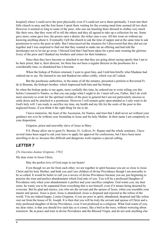hospital] where I could serve the poor physically even if I could not serve them spiritually. I went into their little church to pray and the four hours I spent there waiting for the evening meal-time seemed all too short. However it seemed so long to some of the poor, who saw me kneeling there dressed in clothes very much like their own, that they went off to tell the others and they all agreed to take up a collection for me. Some gave more, some gave less; the poorer ones a denier, the richer ones a sou. All this went on without my knowing anything about it. Eventually I left the church to ask the time of supper and at the same time to ask permission to serve the poor at table. But I misconceived the situation for I discovered that they did not eat together and I was surprised to find out that they wanted to make me an offering and had told the doorkeeper not to let me go away. I blessed God that I had been taken for a poor man wearing the glorious livery of the poor and I thanked my brothers and sisters for their kindness.

 Since then they have become so attached to me that they are going about saying openly that I am to be their priest, that is, their director, for there has not been a regular director in the poorhouse for a considerable time, so abandoned has it become.

 When the bishop of Poitiers returned, I went to greet him, and I told him briefly what Madame had ordered me to say. He listened to me and thanked me rather coldly, which was all I asked.

 But the poorhouse authorities, in the name of all the inmates, presented a petition to Reverend Fr. de la Bournat, the bishop's brother, which impressed both him and the bishop.

So when the bishop spoke to me again, more cordially this time, he ordered me to write telling you this before I returned to Nantes, so that you can judge what I ought to do. I must tell you, Father, that I do wish most sincerely to work for the spiritual welfare of the poor in general but I am not particularly anxious to settle down and be attached to a poorhouse. However I will remain quite open-minded as I only want to do God's holy will. I am ready to sacrifice my time, my health and my life for the souls of the poor in this neglected house, if you think it the right thing for me to do.

 I leave tomorrow, the feast of the Ascension, for Nantes, and trust that I shall never act without your guidance nor ever be without your friendship in Jesus and his holy Mother. In their name I am completely at your disposition.

Grignion, priest and unworthy slave of Jesus in Mary.

 P.S. Please allow me to greet Fr. Brenier, Fr. Lefèvre, Fr. Repars and the whole seminary. I have several times been urged to ask your leave to apply for approval for confessions, but I have been most unwilling to do so, because this difficult and dangerous work requires a special calling.

# *LETTER 7*

*[To Guyonne-Jeanne Grignion, 1701]* 

My dear sister in Jesus Christ,

May the perfect love of God reign in our hearts!

 Even though we are far from each other, we are together in spirit because you are so close to Jesus Christ and his holy Mother, and both you and I are children of divine Providence though I am unworthy to be so called. It would be better to call you a novice of divine Providence because you are just beginning to practise the trust and perfect abandonment which God asks of you. You will be a professed Daughter of Providence only when your abandonment is perfect and your sacrifice complete. God wants you, my dear sister, he wants you to be separated from everything that is not himself, even if it means being deserted by everyone. But be glad and rejoice, you who are the servant and the spouse of Jesus, when you resemble your master and spouse. Jesus is poor; Jesus is abandoned; Jesus is despised and rejected as the refuse of the world. You are indeed happy, Louise Grignion, if you are poor in spirit, abandoned, despised and like refuse cast out from the house of St. Joseph. It is then that you will be truly the servant and spouse of Christ and a truly professed daughter of divine Providence, even if not professed as a religious. What God wants of you, my dear sister, is that you should live each day as it comes, like a bird in the trees, without worrying about tomorrow. Be at peace and trust in divine Providence and the Blessed Virgin, and do not seek anything else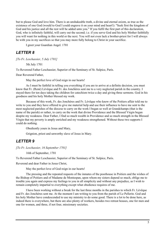but to please God and love him. There is an unshakeable truth, a divine and eternal axiom, as true as the existence of one God (would to God I could engrave it on your mind and heart!): "Seek first the kingdom of God and his justice and all the rest will be added unto you." If you fulfil the first part of this declaration, God, who is infinitely faithful, will carry out the second; i.e. if you serve God and his holy Mother faithfully you will want for nothing in this world or the next. You will not even lack a brother-priest for I will always be with you in my sacrifices so that you may more fully belong to Christ in your sacrifice.

I greet your Guardian Angel. 1701

## *LETTER 8*

*[To Fr. Leschassier, 5 July 1701]* 

5th July 1701

To Reverend Father Leschassier, Superior of the Seminary of St. Sulpice, Paris.

Dear Reverend Father,

May the perfect love of God reign in our hearts!

 As I must be faithful in telling you everything if you are to arrive at a definite decision, you must know that Fr. (René) Lévêque and Fr. des Jonchères sent me to a very neglected parish in the country. I stayed there for ten days taking the children for catechism twice a day and giving three sermons. God in his goodness and his holy Mother blessed my work.

 Because of this work, Fr. des Jonchères and Fr. Lévêque who know of the Poitiers affair told me to write to you and they have offered to give me material help and use their influence to have me sent to the most neglected parishes of the diocese to carry on the work I began so well at Grandchamps (that is the name of the parish) or rather, to carry on the work that divine Providence and the Blessed Virgin began despite my weakness. Dear Father, I find so much wealth in Providence and so much strength in the Blessed Virgin that my poverty is amply enriched and my weakness strengthened. Without these two supports I could do nothing.

Obediently yours in Jesus and Mary,

Grignion, priest and unworthy slave of Jesus in Mary.

# *LETTER 9*

*[To Fr. Leschassier, 16 September 1701]* 

16th of September, 1701

To Reverend Father Leschassier, Superior of the Seminary of St. Sulpice, Paris.

Reverend and dear Father in Jesus Christ,

May the perfect love of God reign in our hearts!

 The pressing and the repeated requests of the inmates of the poorhouse in Poitiers and the wishes of the Bishop of Poitiers and of Madame de Montespan, upon whom my sisters depend so much, oblige me to trouble you again and express my feelings to you in all simplicity and without any prejudice, as I wish to remain completely impartial to everything except what obedience requires of me.

 I have been working without a break for the last three months in the parishes to which Fr. Lévêque and Fr. des Jonchères sent me. At the moment I am writing to you from the parish of Le Pellerin. God and his holy Mother have condescended to use my ministry to do some good. There is a lot to be done here, as indeed there is everywhere, but there are also plenty of workers, besides two retreat houses, one for men and one for women, and three, if not four, missionary societies.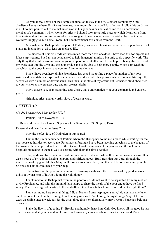As you know, I have not the slightest inclination to stay in the St. Clément community. Only obedience keeps me here. Fr. (René) Lévêque, who knows this very well for after you I follow his guidance in all I do, has pointed out to me that since God in his goodness has not called me to be a permanent member of a community which works for priests, I should look for a little place to which I can retire from time to time after the short missions which are assigned to me by obedience. He said at the time that he would willingly give me a small room, but I doubt whether this comes from the heart.

 Meanwhile the Bishop, like the poor of Poitiers, has written to ask me to work in his poorhouse. But I have no inclination at all to lead an enclosed life.

 The diocese of Poitiers needs workers much more than this one does. I have seen this for myself and it has surprised me. But I am not being asked to help in general ministry but only to do a specific work. The only thing that would make me want to go to the poorhouse at all would be the hope of being able to extend my work later into the town and the countryside and so be able to help more people. When I am teaching catechism to the poor in town and country, I am in my element.

 Since I have been here, divine Providence has asked me to find a place for another of my poor sisters and has established spiritual ties between me and several other persons who are sinners like myself, as well as with a number of devout souls. This then is the state of my affairs but I consider blind obedience to your wishes as my greatest duty and my greatest desire.

 May I assure you, dear Father in Jesus Christ, that I am completely at your command, and entirely yours.

Grignion, priest and unworthy slave of Jesus in Mary.

# *LETTER 10*

*[To Fr. Leschassier, 3 November 1701]* 

Poitiers, 3rd of November, 1701.

To Reverend Father Leschassier, Superior of the Seminary of St. Sulpice, Paris.

Reverend and dear Father in Jesus Christ,

May the perfect love of God reign in our hearts!

 I am in the junior seminary at Poitiers where the Bishop has found me a place while waiting for the poorhouse authorities to receive me. For almost a fortnight I have been teaching catechism to the beggars of the town with the approval and help of the Bishop. I visit the inmates of the prisons and the sick in the hospitals preaching to them as well as sharing with them the alms I receive.

 The poorhouse for which I am destined is a house of discord where there is no peace whatever. It is also a house of privations, lacking temporal and spiritual goods. But I trust that our Lord, through the intercession of my good Mother Mary, will turn it into a holy place, one that will become rich and peaceful. So you see I am in great need of your help.

 The matrons of the poorhouse want me to have my meals with them as some of my predecessors did. But I won't hear of it. Am I doing the right thing?

 I explained to the Bishop that even in the poorhouse I do not want to be separated from my mother, divine Providence, and with this in mind I am happy to share the meals of the poor and to have no fixed salary. The Bishop agreed heartily to this and offered to act as a father to me. Have I done the right thing?

 I am continuing here several things I did at Nantes. I am sleeping on straw; I do not have any lunch and I do not eat much in the evening. I am keeping very well. Am I doing the right thing? May I take an extra discipline once a week besides the usual three times, or alternatively, may I wear a horsehair belt one or twice?

 I take the liberty of greeting Fr. Brenier and humbly thank him. Only God knows all the good he has done for me, and all you have done for me too. I am always your obedient servant in Jesus and Mary.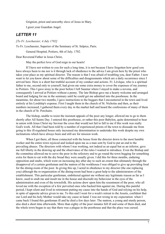Grignion, priest and unworthy slave of Jesus in Mary.

I greet your Guardian Angel.

# *LETTER 11*

*[To Fr. Leschassier, 4 July 1702]* 

To Fr. Leschassier, Superior of the Seminary of St. Sulpice, Paris.

General Hospital, Poitiers, 4th of July, 1702.

Dear Reverend Father in Jesus Christ,

May the perfect love of God reign in our hearts!

 If I have not written to you for such a long time, it is not because I have forgotten how good you have always been to me nor is it through lack of obedience to the advice I am given here by the priest who takes your place as my spiritual director. The reason is that I was afraid of troubling you, dear Father. I now want to let you know about some of the difficulties and disagreements which are a daily occurrence since I arrived here. Here is a short but truthful account of my conduct and actions. Fr. Lévêque, who is a spiritual father to me, second only to yourself, had given me some extra money to cover the expenses of my journey to Poitiers. This I gave away to the poor before I left Saumur where I stayed to make a novena, and consequently I arrived at Poitiers without a penny. The late Bishop gave me a hearty welcome and arranged board and lodging for me in the seminary until he could get me admitted into the poorhouse. In the meantime, for about two months, I gave instructions to the beggars that I encountered in the town and lived entirely at his Lordship's expense. First I taught them in the church of St. Nicholas and then, as their numbers increased, I gathered them every day in the market hall and heard the confessions of many of them in the church of St. Porchaire.

 The bishop, unable to resist the insistent appeals of the poor any longer, allowed me to go to them shortly after All Saints Day. I entered this poorhouse, or rather this poor Babylon, quite determined to bear in union with Jesus Christ my Saviour the cross that would not fail to fall to me if this work was really God's work. All that I had been told by a number of experienced priests of the town to dissuade me from going to this ill-regulated house only increased my determination to undertake this work despite my own inclinations which have always been and still are for mission work.

When I got there, all those connected with the house from the director down to the most humble worker and the entire town rejoiced and looked upon me as a man sent by God to put an end to the prevailing abuses. The directors with whom I was working, not indeed as an equal but as an inferior, gave me full liberty in the drawing up and the observance of the rules I wanted to introduce. Even the Bishop and the committee allowed me to serve the poor in the refectory and to go round the town begging for something extra for them to eat with the dry bread they were usually given. I did this for three months, enduring opposition and snubs, which went on increasing day after day to such an extent that ultimately through the disapproval of a certain gentleman and the matron of the workhouse I was obliged to give up providing food for the dining-room of the poor. In giving this up, I acted in obedience to my director (the one replacing you) although the re-organisation of the dining-room had been a great help to the administrators of the establishment. This particular gentleman, embittered against me without any legitimate reason as far as I know, used to snub me and insult me in the house and discredit my behaviour in the eyes of the administration and even of the townsfolk. His actions drew upon him the resentment of the poor, who all loved me with the exception of a few perverted ones who backed him against me. During this painful period, I kept silent and lived in retirement putting my cause into the hands of God and relying on his help, in spite of opposite advice given to me. To this end I went for a week's retreat to the Jesuits, confident that our Lord and his holy Mother would take my cause in hand. I was not wrong in my expectation: when I came back I found this gentleman ill and he died a few days later. The matron, a young and sturdy person, also died a short time afterwards. More than eighty of the poor inmates fell ill and some of them died, and the whole town began to say that there was a plague in the poorhouse and that the place was cursed.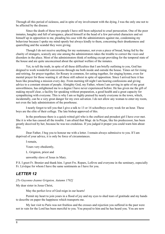Through all this period of sickness, and in spite of my involvement with the dying, I was the only one not to be affected by the disease.

 Since the death of these two people I have still been subjected to cruel persecution. One of the poor inmates, haughty and full of arrogance, placed himself at the head of a few perverted characters and set himself up in opposition to me, pleading his case with the administrators against me, condemning my behaviour because I spoke my mind openly but always kindly to them, concerning their drunkenness and quarrelling and the scandal they were giving.

 Though I do not receive anything for my sustenance, not even a piece of bread, being fed by the charity of strangers, scarcely any one among the administrators takes the trouble to correct the vices and disorders in the place. Most of the administrators think of nothing except providing for the temporal state of the house and are quite unconcerned about the spiritual welfare of the inmates.

 Yet, to tell the truth, in spite of all these difficulties that I am briefly outlining to you, God has deigned to work wonderful conversions through me both inside and outside the house. Times set for rising and retiring, for prayer together, for Rosary in common, for eating together, for singing hymns, even for mental prayer for those wanting it: all these still subsist in spite of opposition. Since I arrived here it has been like preaching a mission every day. From morning till night I am hearing confessions and giving advice to a constant stream of people. Almighty God, my Father, whom I am serving in spite of my great unworthiness, has enlightened me to a degree I have never experienced before. He has given me the gift of making myself clear, a facility for speaking without preparation, a good health and a great capacity for sympathizing with everyone. This is why I am so highly praised by nearly everyone in the town, which, incidentally, can be a very great danger for my own salvation. I do not allow any woman to enter my room, not even the lady administrators of the poorhouse.

 I nearly forgot to tell you that I give a talk to 13 or 14 schoolboys every week for an hour. These boys are the elite of their college. The late bishop approved of this.

 In the poorhouse there is a quick-witted girl who is the craftiest and proudest girl I have ever met. She it is who has caused all the trouble. I am afraid that Msgr. de la Poype, like his predecessor, has been greatly deceived by her, because he was too credulous. If you judged it proper you could warn him about this.

 Dear Father, I beg you to honour me with a letter. I remain always submissive to you. If I am deprived of your advice, it is only be force of circumstances.

I remain,

Yours very obediently,

L. Grignion, priest and

unworthy slave of Jesus in Mary.

P.S. I greet Fr. Brenier and thank him. I greet Frs. Repars, Lefèvre and everyone in the seminary, especially Fr. Lévêque for whom I have the same sentiments as I have for you.

# *LETTER 12*

*[To Guyonne-Jeanne Grignion, Autumn 1702]* 

My dear sister in Jesus Christ,

May the perfect love of God reign in our hearts!

 Permit my heart to join yours in a flood of joy and my eyes to shed tears of gratitude and my hands to describe on paper the happiness which transports me.

 My last visit to Paris was not fruitless and the crosses and rejection you suffered in the past were not in vain for the Lord has been merciful to you. You prayed to him and he has heard you. You are now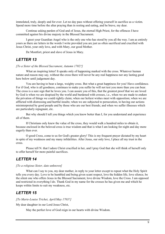immolated, truly, deeply and for ever. Let no day pass without offering yourself in sacrifice as a victim. Spend more time before the altar praying than in resting and eating, and be brave, my dear.

 Continue asking pardon of God and of Jesus, the eternal High Priest, for the offences I have committed against his divine majesty in the Blessed Sacrament.

 I greet your Guardian Angel who is the only one who has stood by you all the way. I am as entirely yours as there are letters in the words I write provided you are just as often sacrificed and crucified with Jesus Christ, your only love, and with Mary, our good Mother.

De Montfort, priest and slave of Jesus in Mary.

## *LETTER 13*

*[To a Sister of the Blessed Sacrament, Autumn 1702?]* 

What an inspiring letter! It speaks only of happening marked with the cross. Whatever human nature and reason may say, without the cross there will never be any real happiness nor any lasting good here below until judgement day.

 You are having to bear a large, weighty cross. But what a great happiness for you! Have confidence. For if God, who is all goodness, continues to make you suffer he will not test you more than you can bear. The cross is a sure sign that he loves you. I can assure you of this, that the greatest proof that we are loved by God is when we are despised by the world and burdened with crosses, i.e., when we are made to endure the privation of things we could rightly claim; when our holiest wishes meet with opposition; when we are afflicted with distressing and hurtful insults; when we are subjected to persecution, to having our actions misinterpreted by good people and by those who are our best friends; and when we suffer illnesses which are particularly repugnant, etc.

 But why should I tell you things which you know better than I, for you understand and experience all of them.

 If Christians only knew the value of the cross, they would walk a hundred miles to obtain it, because enclosed in the beloved cross is true wisdom and that is what I am looking for night and day more eagerly than ever.

 O good Cross, come to us for God's greater glory! This is my frequent prayer dictated by my heart in spite of my weakness and my many infidelities. After Jesus, our only love, I place all my trust in the cross.

 Please tell N. that I adore Christ crucified in her, and I pray God that she will think of herself only to offer herself for more painful sacrifices.

# *LETTER 14*

#### *[To a religious Sister, date unknown]*

What can I say to you, my dear mother, in reply to your letter except to repeat what the Holy Spirit tells you every day. Love to be humbled and being given scant respect, love the hidden life, love silence, be the silent one who offers Jesus in the Blessed Sacrament, love divine Wisdom, love the Cross. I am opposed and restricted in everything I do. Thank God in my name for the crosses he has given me and which he keeps within limits to suit my weakness, etc.

# *LETTER 15*

#### *[To Marie-Louise Trichet, April/May 1703?]*

My dear daughter in our Lord Jesus Christ,

May the perfect love of God reign in our hearts with divine Wisdom.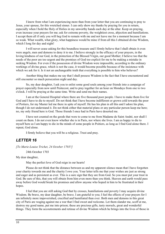I know from what I am experiencing more than from your letter that you are continuing to pray to Jesus, your spouse, for this wretched sinner. I can only show my thanks by praying for you in return, especially when I hold the Holy of Holies in my unworthy hands each day at the altar. Keep on praying, even increase your prayers for me; ask for extreme poverty, the weightiest cross, abjection and humiliations. I accept them all if only you will beg God to remain with me and not leave me for a moment because I am so weak. What wealth, what glory, what happiness would be mine if from all this I obtained divine Wisdom, which I long for day and night!

 I will never cease asking for this boundless treasure and I firmly believe that I shall obtain it even were angels, men and demons to deny it to me. I believe strongly in the efficacy of your prayers, in the loving kindness of our God, in the protection of the Blessed Virgin, our good Mother; I believe too that the needs of the poor are too urgent and the promises of God too explicit for me to be making a mistake in seeking Wisdom. For even if the possession of divine Wisdom were impossible, according to the ordinary workings of divine grace, which is not the case, it would become possible because of the insistence with which we ask for it. Is it not an unchangeable truth that everything is possible to him who believes?

 Another thing that makes me say that I shall possess Wisdom is the fact that I have encountered and still encounter so much persecution night and day.

 So, my dear daughter, I ask you to enlist some good souls among your friends into a campaign of prayer especially from now until Pentecost, and to pray together for an hour on Mondays from one to two o'clock. I will be praying at the same time. Write and send me their names.

 I am at the General Hospital where there are five thousand poor people. I have to make them live for God and I have to die to myself. Do not think that I have become indifferent or grown cold towards the poor of Poitiers, for my Master led me there in spite of myself. He has his plan in all this and I adore his plan, though I do not understand it. Do not think either that material plans or any particular person keep me here; no, my only friend here is God. Those friends I once had in Paris have deserted me.

 I have not counted on the goods that were to come to me from Madame de Saint André, nor shall I count on them. I do not even know whether she is in Paris, nor where she lives. I am as happy to die to myself here as I am happy to die in the minds of some people in Poitiers, as long as I find God alone there. I repeat, God alone.

I firmly believe that you will be a religious. Trust and pray.

## *LETTER 16*

*[To Marie-Louise Trichet, 24 October 1703?]* 

24th October 1703

My dear daughter,

May the perfect love of God reign in our hearts!

 Please do not think that the distance between us and my apparent silence mean that I have forgotten your charity towards me and the charity I owe you. Your letter tells me that your wishes are just as strong and eager and as persistent as ever. This is a sure sign that they are from God. So you must put your trust in God. Be sure of this, that you will obtain from him even more than you think. Heaven and earth would pass away before God would break his promises and allow anyone who hoped in him to be frustrated in their hopes.

 I feel that you are still asking God that by crosses, humiliations and poverty I may acquire divine Wisdom. Be brave, my dear daughter, be brave. I am grateful to you; I feel the effects of your prayers for I am infinitely more impoverished, crucified and humiliated than ever. Both men and demons in this great city of Paris are waging against me a war that I find sweet and welcome. Let them slander me, scoff at me, destroy my good name, put me into prison; these are precious gifts, tasty morsels, great and wonderful things. They form the accoutrements and retinue of divine Wisdom which he brings into the lives of those in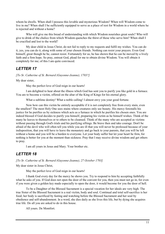whom he dwells. When shall I possess this lovable and mysterious Wisdom? When will Wisdom come to live in me? When shall I be sufficiently equipped to serve as a place of rest for Wisdom in a world where he is rejected and without a home?

 Who will give me this bread of understanding with which Wisdom nourishes great souls? Who will give to drink of the chalice from which Wisdom quenches the thirst of those who serve him? When shall I be crucified and lost to the world?

 My dear child in Jesus Christ, do not fail to reply to my requests and fulfil my wishes. You can do it, yes, you can do it, along with some of your chosen friends. Nothing can resist your prayers. Even God himself, great though he be, cannot resist. Fortunately for us, he has shown that he can be moved by a lively faith and a firm hope. So pray, entreat God, plead for me to obtain divine Wisdom. You will obtain it completely for me; of this I am quite convinced.

# *LETTER 17*

*[To Sr. Catherine of St. Bernard (Guyonne-Jeanne), 1703?]* 

My dear sister,

May the perfect love of God reign in our hearts!

 I am delighted to hear about the illness which God has sent you to purify you like gold in a furnace. You are to become a victim, offered on the altar of the King of Kings for his eternal glory.

What a sublime destiny! What a noble calling! I almost envy you your good fortune.

 Now how can this victim be entirely acceptable if it is not completely free from every stain, even the smallest? The most Holy One sees stains where creatures only see beauty. His mercy forestalls his justice for he purifies us by sickness which acts as a furnace in which he purifies his chosen ones. You are indeed blessed if God decides to purify you himself, preparing his victim as he himself wishes. Think of the many he leaves to themselves or to others to be cleansed. Think of the many who are accepted as victims without passing through God's trials and his purifying siftings. Be brave then and take courage. Don't be afraid of the devil who will often tell you while you are ill that you will never be professed because of your indisposition, that you will have to leave the monastery and go back to your parents, that you will be left without a home and you will be a burden to everyone. Let your body suffer but let your heart be firm, for nothing is better for you at the moment than sickness. Pray that I may receive divine wisdom and get others to pray.

I am all yours in Jesus and Mary. Your brother etc.

# *LETTER 18*

*[To Sr. Catherine of St. Bernard (Guyonne-Jeanne), 27 October 1703]* 

My dear sister in Jesus Christ,

May the perfect love of God reign in our hearts!

 I thank God every day for the mercy he shows you. Try to respond to him by accepting faithfully what he asks of you. If God does not open the door of the convent for you, then you must not go in, for even if you were given a golden key made especially to open the door, it would become for you the door of hell.

 To be a Daughter of the Blessed Sacrament is a special vocation for her ideals are very high. The true Sister of the Blessed Sacrament is a real victim, body and soul. Continual and total self-sacrifice is her food; her body is sacrificed by fasting and watching before the Blessed Sacrament and her soul by obedience and self-abandonment. In a word, she dies daily as she lives this life, but by dying she acquires true life. Do all you are asked to do in this house.

All yours. De Montfort.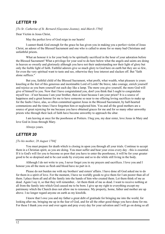# *LETTER 19*

*[To Sr. Catherine of St. Bernard (Guyonne-Jeanne), mid-March 1704]* 

Dear Victim in Jesus Christ,

May the perfect love of God reign in our hearts!

 I cannot thank God enough for the grace he has given you in making you a perfect victim of Jesus Christ, an adorer of the Blessed Sacrament and one who is called to atone for so many bad Christians and unfaithful priests.

What an honour it is for your body to be spiritually sacrificed in the hour of your adoration before the Blessed Sacrament! What a privilege for your soul to do here below what the angels and saints are doing in heaven so sweetly and gloriously although you have not their understanding nor their light of glory but only the feeble light of faith. Faithful adorers give so much glory to God here on earth but they are so few, for even the very spiritual want to taste and see, otherwise they lose interest and slacken off. But "faith alone suffices."

 But you, faithful child of the Blessed Sacrament, what profit, what wealth, what pleasure is yours kneeling at the feet of this generous and inestimable Lord of Lords! Be brave, take courage, enrich yourself and rejoice as you burn yourself out each day like a lamp. The more you give yourself, the more God will give of himself to you. Now that I have congratulated you, don't you think that I ought to congratulate myself too - if not because I am your brother, then at least because I am your priest? It is a source of happiness and a great honour for me to have someone so near to me offering loving sacrifices to make up for the faults I have, alas, so often committed against Jesus in the Blessed Sacrament, by half-hearted communions and the times I have forgotten him or neglected him. You and all the good mothers are a source of great rejoicing for me because you have obtained graces for me and for so many other unworthy priests who through their lack of faith have become unworthy to approach the altar.

 I am leaving at once for the poorhouse at Poitiers. I beg you, my dear sister, love Jesus in Mary and love God in Jesus through Mary.

Always yours.

## *LETTER 20*

#### *[To his mother, 28 August 1704]*

 You must prepare for death which is closing in upon you through all your trials. Continue to accept them in a Christian spirit, as you are doing. You must suffer and bear your cross every day - this is essential. If it is God's will for you to become so poor that you have to enter the poorhouse, it will be for your greater good to be so despised and to be cast aside by everyone and so to die while still living in the body.

 Although I do not write to you, I never forget you in my prayers and sacrifices. I love you and I honour you all the more as flesh and blood have no part in it.

 Please do not burden me with my brothers' and sisters' affairs. I have done all God asked me to do for them in a spirit of love. For the moment, I have no worldly goods to give them for I am poorer than all of them. I place them all and all the family into the hands of him who created them. Let them think of me as dead. Again I say it, so that they will remember, - let them think of me as dead. I want to receive nothing at all from the family into which God caused me to be born. I give up my right to everything except my patrimony which the Church does not allow me to renounce. My property, home, father and mother are up above. I no longer regard anyone on earth as my kinsfolk.

 I know that I owe you and my father a great debt of gratitude for bringing me into the world, for looking after me, bringing me up in the fear of God, and for all the other good things you have done for me. For these I thank you over and over again and pray every day for your salvation and I will go on doing so all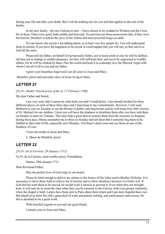during your life and after your death. But I will do nothing else for you and that applies to the rest of the family.

 In my new family - the one I belong to now - I have chosen to be wedded to Wisdom and the Cross for in these I find every good, both earthly and heavenly. So precious are these possessions that, if they were but known, Montfort would be the envy of the richest and most powerful kings on earth.

 No one knows the secrets I am talking about, or at least very few people do. You will understand them in eternity if you have the happiness to be saved. It could happen that you will not, so fear and love God all the more.

 Please tell my father, on behalf of my heavenly Father, not to touch pitch or else he will be defiled; tell him not to indulge in earthly pleasures, for they will suffocate him; and not to be engrossed in worldly affairs, for he will be choked by them. Flee the world and hold it in contempt; love the Blessed virgin with whom I am all in all to you and my father.

I greet your Guardian Angel and I am all yours in Jesus and Mary.

Montfort, priest and unworthy slave of Jesus living in Mary.

# *LETTER 21*

*[To Fr. Hindré, Parish-priest of Br'al, 17 February 1708]* 

My dear Father and friend,

 I am very sorry that I cannot do what both you and I would desire. I am already booked for three different places on each of these three days and I must keep to my commitments. However, I will send Mathurin to you on Tuesday to say the Rosary in public and sing hymns and he will bring sixty little crosses of St. Michael for our soldiers. I trust you will have the kindness to distribute them after you have told them on Sunday to meet on Tuesday. This may help a great deal to restrain them from the excesses so frequent during these days. Please remember me to them on Sunday and tell them that I earnestly beg them to be faithful to their rule of life, especially next Monday. Tell them I shall come and see them on one of the Sundays of Lent.

Yours devotedly in Jesus and Mary,

L. Marie de Montfort, priest.

## *LETTER 22*

*[To Fr. de la Carrière, 29 January 1711]* 

To Fr. de la Carrière, most worthy priest, Pontchâteau.

Nantes, 29th January 1711

Dear Reverend Father,

May the perfect love of God reign in our hearts!

 Please be kind enough to deliver my statues to the bearer of this letter and to Brother Nicholas. It is necessary to move them, both to relieve me of anxiety and to show obedience because it is God's will. If God did not want them to be moved, he would work a miracle to prevent it. Even when they are brought here, it will only be to await the time when they can be returned to the Calvary with even greater solemnity when the chapel is built. Letters have been sent to Paris about their return and I am more hopeful than ever. But ahead of us there lies still a great deal of work and patient waiting, and much prayer and crosses, for this is destined to be a great work.

With heartfelt regards to you and our good friend,

I remain your in Jesus and Mary,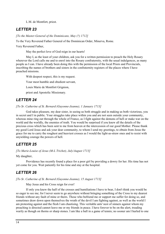L.M. de Montfort, priest.

# *LETTER 23*

*[To the Master-General of the Dominicans, May (?) 1712]* 

To the Very Reverend Father General of the Dominican Order, Minerva, Rome.

Very Reverend Father,

May the perfect love of God reign in our hearts!

 May I, as the least of your children, ask you for a written permission to preach the Holy Rosary wherever the Lord calls me and to enrol into the Rosary confraternity, with the usual indulgences, as many people as I can. I have already been doing this with the permission of the local Priors and Provincials, inscribing the names of brothers and sisters in the confraternity registers of the places where I have preached missions.

With deepest respect, this is my request.

Your most humble and obedient servant,

Louis Marie de Montfort Grignion,

priest and Apostolic Missionary.

# *LETTER 24*

*[To Sr. Catherine of St. Bernard (Guyonne-Jeanne), 1 January 1713]* 

 God takes pleasure, my dear sister, in seeing us both struggle and in making us both victorious, you in secret and I in public. Your struggles take place within you and are not seen outside your community, whereas mine ring out through the whole of France, as I fight against the demons of hell or make war on the world and the worldly, the enemies of truth. You would be surprised if you knew all the details of the precious cross which has been sent to me from heaven at the intercession of our good Mother. Please thank my good Lord Jesus and ask your dear community, to whom I send my greetings, to obtain from Jesus the grace for me to carry the roughest and heaviest crosses as I would the light-as-straw ones and to resist with unyielding courage the powers of hell.

# *LETTER 25*

*[To Marie-Louise of Jesus (M-L Trichet), July/August 1713]* 

My daughter,

 Providence has recently found a place for a poor girl by providing a dowry for her. His time has not yet come for you. Wait patiently for his time and stay at the hospital.

# *LETTER 26*

*[To Sr. Catherine of St. Bernard (Guyonne-Jeanne), 15 August 1713]* 

May Jesus and his Cross reign for ever!

 If only you knew the half of the crosses and humiliations I have to bear, I don't think you would be so eager to see me; for I never seem to go anywhere without bringing something of the Cross to my dearest friends without any fault of mine or theirs. Those who befriend me or support me suffer for doing so, and sometimes draw down upon themselves the wrath of the devil I am fighting against, as well as the world I am protesting against and the flesh I am chastising. This veritable ants' nest of sinners against whom my preaching is directed cannot leave me or my friends in peace. I have forever to be on the alert, treading warily as though on thorns or sharp stones. I am like a ball in a game of tennis; no sooner am I hurled to one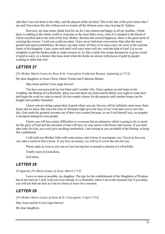side than I am sent back to the other, and the players strike me hard. This is the fate of the poor sinner that I am and I have been like this without rest or respite all the thirteen years since leaving St. Sulpice.

 However, my dear sister, thank God for me for I am content and happy in all my troubles. I think there is nothing in the whole world so welcome as the most bitter cross, when it is steeped in the blood of Christ crucified and in the milk of his holy Mother. Besides this inward happiness, there is the great merit of carrying the crosses. I wish you could see mine. I have never had more conversions than after the most painful and unjust prohibitions. Be brave, my dear sister, all three of us must carry our cross to the extreme limits of the kingdom. Carry yours well and I will carry mine well too, with the help of God. Let us not complain or put the burden aside or make excuses or cry like a child who weeps because he is given a load of gold to carry, or a farmer who loses heart when his fields are strewn with pieces of gold by people wanting to make him rich.

# *LETTER 27*

*[To Mother Marie-Louise de Jésus & Sr. Conception (Catherine Brunet), beginning of 1715]* 

My dear daughters in Jesus Christ, Marie Trichet and Catherine Brunet,

May Jesus and his Cross reign forever!

 You have not answered my last letter and I wonder why. I have spoken several times to his Lordship, the Bishop of La Rochelle, about you and about our plans and he thinks you ought to come here and begin the work we want so much. He has rented a house for the purpose until another house can be bought and suitably furnished.

 I know you are doing a great deal of good where you are, but you will do infinitely more away from home and we know that since the time of Abraham right up to the time of our Lord and even to our own day, God sends his greatest servants out of their own country because, as our Lord himself says, no prophet is accepted among his own people.

 I know you will have many difficulties to overcome but an enterprise which is going to do so much for the glory of God and the salvation of men will have its way strewn with thorns and crosses. If you don't take risks for God, you won't give anything worthwhile. I am writing to you on behalf of the Bishop, so keep this confidential.

 I will send you Brother John with some money and a horse to accompany you. Travel as best you can; take a coach or hire a horse. If you have no money, we will try to cover the cost for you.

Please reply as soon as you can as I am leaving here to preach a mission at La Rochelle.

Totally yours in God alone,

God alone.

# *LETTER 28*

*(Fragment) [To Marie-Louise of Jesus, March 1715]* 

 Leave as soon as possible, my daughter. The day for the establishment of the Daughters of Wisdom has at last arrived. I only wish you were already at La Rochelle, where I am at the moment; but if you delay you will not find me here as I am in a hurry to leave for a mission.

# *LETTER 29*

*[To Mother Marie-Louise of Jesus & Sr. Conception, 4 April 1715]* 

May Jesus and his Cross reign forever!

My dear daughters,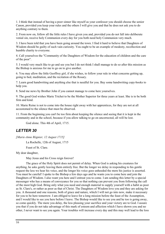1. I think that instead of having a poor sinner like myself as your confessor you should choose the senior Canon, provided you keep your rules and the others I will give you and that he does not ask you to do anything contrary to them.

2. From now on, follow all the little rules I have given you and, provided you do not fall into deliberate venial sin, receive holy Communion every day for you both need holy Communion very much.

3. I have been told that you have been going around the town. I find it hard to believe that Daughters of Wisdom should be guilty of such vain curiosity. You ought to be an example of modesty, recollection and humble charity to everyone.

4. Call yourselves the "Community of the Daughters of Wisdom for the education of children and the care of the poor".

5. I would very much like to go and see you but I do not think I shall manage to do so after this mission as the Bishop is anxious for me to go on to give another.

6. You may allow the little Geoffroy girl, if she wishes, to follow your rule in what concerns getting up, going to bed, meditation, and the recitation of the Rosary.

7. Learn good handwriting and anything else that is needful for you. Buy some handwriting copy-books to help you.

8. Send me news by Brother John if you cannot manage to come here yourselves.

9. The good God wishes Marie Trichet to be the Mother Superior for three years at least. She is to be both firm and kind.

10. Marie Reine is not to come into the house right away with her apprentices, for they are not at all accustomed to the silence that must be observed.

11. From the beginning you can't be too firm about keeping the silence and seeing that it is kept in the community and in the school, because if you allow talking to go on uncorrected, all will be lost.

God alone. This 4th of April, 1715.

# *LETTER 30*

*[Marie-Anne Régnier, 12 August 1715]* 

La Rochelle, 12th of August, 1715

Feast of St. Clare.

My dear daughter,

May Jesus and his Cross reign forever!

 The grace of the Holy Spirit does not permit of delay. When God is asking his creatures for anything, he asks gently leaving them entirely free. But the longer we delay in responding to his gentle request the less we hear his voice, and the longer his voice goes unheeded the more his justice is asserted. You must be careful! I spoke to the Bishop a few days ago and he wants you to come here and join the Daughters of Wisdom. I also want you here and I entreat you to come. I am sending this letter by a special messenger who has a means of conveyance for you so that nothing can prevent you from following the call of the most high God. Bring only what you need and enough material to supply yourself with a habit as poor as St. Clare's, or rather as poor as that of Christ. The Daughters of Wisdom love you and they are asking for you. A thousand and one reasons, both of grace and nature, which I will not go into now, make it necessary for you to be here tomorrow. I am obliged to leave for a long mission before the feast of the Assumption, and I would like to see you here before I leave. The Bishop would like to see you and he too is going away, so come quickly. The more you delay, the less pleasing your sacrifice and your victory are to God. I assure you that if you do not take advantage of this mark of esteem and affection which I have shown you and no other, I never want to see you again. Your troubles will increase every day and this may well lead to the loss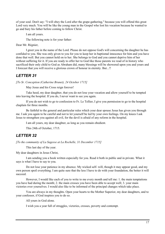of your soul. Don't say: "I will obey the Lord after the grape-gathering," because you will offend this great Lord very much. You will be like the young man in the Gospel who lost his vocation because he wanted to go and bury his father before coming to follow Christ.

I am all yours.

The following note is for your father:

Dear Mr. Régnier,

 I greet you in the name of the Lord. Please do not oppose God's will concerning the daughter he has confided to you. She was only given to you for you to keep her in baptismal innocence for him and you have done that well. But you cannot hold on to her. She belongs to God and you cannot deprive him of her without suffering for it. If you are ready to offer her to God like those parents we read of in history who sacrificed their only child to God as Abraham did, many blessings will be showered upon you and yours and I forecast that you will receive a glorious crown of honour in eternity. But...!!

# *LETTER 31*

*[To Sr. Conception (Catherine Brunet), 24 October 1715]* 

May Jesus and his Cross reign forever!

 Take heed, my dear daughter, that you do not lose your vocation and allow yourself to be tempted into leaving the hospital. If you do, I never want to see you again.

 If you do not wish to go to confession to Fr. Le Tellier, I give you permission to go to the hospital chaplain for three months.

 Be faithful to the general and particular rules which your dear spouse Jesus has given you through me. I ask you again to be careful and not to let yourself be led by your own feelings. On my knees I ask Jesus to strengthen you against all evil, for the devil is afraid of any reform in the hospital.

I am all yours, my dear daughter, as long as you remain obedient.

This 24th of October, 1715.

# *LETTER 32*

*[To the community of La Sagesse at La Rochelle, 31 December 1715]* 

This last day of the year.

My dear daughters in Jesus Christ,

 I am sending you a book written especially for you. Read it both in public and in private. What it says is what I have to say to you.

 Do not lose your patience in my absence. My wicked self- will, though it may appear good, and my own person spoil everything. I am quite sure that the less I have to do with your foundation, the better it will succeed.

 However, I would like each of you to write to me every month and tell me: 1. the main temptations you have had during the month; 2. the main crosses you have been able to accept well; 3. your main victories over yourselves. I would also like to be informed of the principal changes which take place.

 You are always in my thoughts. Open your hearts to the Mother Superior, my dear daughters, and to your confessor, if God inspires you to do so.

All yours in God alone.

I wish you a year full of struggles, victories, crosses, poverty and contempt.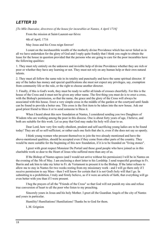# *LETTER 33*

*[To Mlle Dauvaise, directress of the house for incurables at Nantes, 4 April 1716]* 

From the mission at Saint-Laurent-sur-Sèvre

4th of April, 1716

May Jesus and his Cross reign forever!

 I count on the inexhaustible wealth of the motherly divine Providence which has never failed us in all we have undertaken for the glory of God and I reply quite frankly that I think you ought to obtain the lease for the house in question provided that the persons who are going to care for the poor incurables have the following qualities:

1. They must rely entirely on the unknown and invisible help of divine Providence whether they are rich or poor or whether they have any learning or not. They must not rely on any human help or their own natural talents.

2. They must all follow the same rule in its totality and punctually and have the same spiritual director. If any of the ladies has money and special qualifications she must not expect any privileges, say, exemption from community life or the rule, or the right to choose another director.

3. Finally, if this is God's work, they must be ready to suffer all kinds of crosses cheerfully. For this is the house of the Cross and it must not be given any other name. The first thing you must do is to erect a cross, with the Bishop's permission, so that the name, the grace and the glory of the Cross will always be associated with this house. Erect a very simple cross in the middle of the garden or the courtyard until funds can be found to provide a better one. This cross is the first item to be taken into the new house. Ask our good priest friend to bless it or to send someone to bless it.

 When I heard about this new foundation at Nantes, I considered sending you two Daughters of Wisdom who are working among the poor in this diocese. One is about forty years of age, I believe, and both are suitable for this work. Let us pray that God may make his holy will clear to us.

 Dear Lord, how very few really obedient, prudent and self-sacrificing young ladies are to be found today! They are all so self-sufficient, or rather each one feels that she is, even if she does not say so openly.

 I think young women who present themselves to join the two already mentioned and have the above-mentioned qualities, should be accepted even if they come from other parts of the country. They would be more suitable for the beginning of this new foundation, if it is to be founded on "living stones".

 I greet with great respect Monsieur Du Portail and those good people who have joined us in this charitable work so dear to the Heart of Jesus who suffered more than any of us.

 If the Bishop of Nantes agrees (and I would not arrive without his permission) I will be in Nantes on the evening of the 5th of May. I am enclosing a short letter to his Lordship. I send respectful greetings to Fr. Barrin and ask him to take my letter to Fr. de Vertamont to present it to the Bishop. If the latter refuses to allow me to stay in Nantes for two weeks resting from my missionary work - and I will go there only if I receive permission to say Mass - then I will know for certain that it is not God's holy will that I go. In submitting to a prohibition, I truly and firmly believe, as if it were an article of faith, that everything will go even better with you than if I were present.

 I beg the prayers of all the "Friends of the Cross" so that God will not punish my sins and refuse true conversion of heart to all the poor who listen to my preaching.

 Sincerely yours in Jesus and his holy Mother. I greet all the Guardian Angels of the city of Nantes and yours in particular.

Humility! Humiliations! Humiliations! Thanks be to God for them.

L.M. Grignion